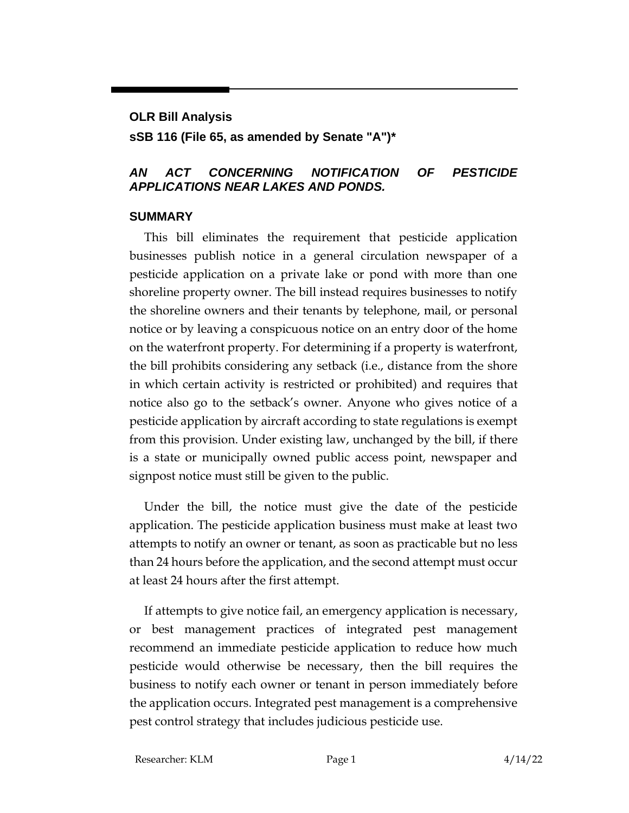## **OLR Bill Analysis**

**sSB 116 (File 65, as amended by Senate "A")\***

## *AN ACT CONCERNING NOTIFICATION OF PESTICIDE APPLICATIONS NEAR LAKES AND PONDS.*

## **SUMMARY**

This bill eliminates the requirement that pesticide application businesses publish notice in a general circulation newspaper of a pesticide application on a private lake or pond with more than one shoreline property owner. The bill instead requires businesses to notify the shoreline owners and their tenants by telephone, mail, or personal notice or by leaving a conspicuous notice on an entry door of the home on the waterfront property. For determining if a property is waterfront, the bill prohibits considering any setback (i.e., distance from the shore in which certain activity is restricted or prohibited) and requires that notice also go to the setback's owner. Anyone who gives notice of a pesticide application by aircraft according to state regulations is exempt from this provision. Under existing law, unchanged by the bill, if there is a state or municipally owned public access point, newspaper and signpost notice must still be given to the public.

Under the bill, the notice must give the date of the pesticide application. The pesticide application business must make at least two attempts to notify an owner or tenant, as soon as practicable but no less than 24 hours before the application, and the second attempt must occur at least 24 hours after the first attempt.

If attempts to give notice fail, an emergency application is necessary, or best management practices of integrated pest management recommend an immediate pesticide application to reduce how much pesticide would otherwise be necessary, then the bill requires the business to notify each owner or tenant in person immediately before the application occurs. Integrated pest management is a comprehensive pest control strategy that includes judicious pesticide use.